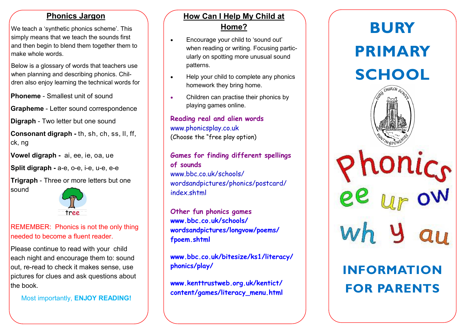#### **Phonics Jargon**

We teach a 'synthetic phonics scheme'. This simply means that we teach the sounds first and then begin to blend them together them to make whole words.

Below is a glossary of words that teachers use when planning and describing phonics. Children also enjoy learning the technical words for

**Phoneme** - Smallest unit of sound

**Grapheme** - Letter sound correspondence

**Digraph** - Two letter but one sound

**Consonant digraph -** th, sh, ch, ss, ll, ff, ck, ng

**Vowel digraph -** ai, ee, ie, oa, ue

**Split digraph -** a-e, o-e, i-e, u-e, e-e

**Trigraph** - Three or more letters but one sound



### REMEMBER: Phonics is not the only thing needed to become a fluent reader.

Please continue to read with your child each night and encourage them to: sound out, re-read to check it makes sense, use pictures for clues and ask questions about the book.

Most importantly, **ENJOY READING!**

# **How Can I Help My Child at Home?**

- Encourage your child to 'sound out' when reading or writing. Focusing particularly on spotting more unusual sound patterns.
- Help your child to complete any phonics homework they bring home.
- Children can practise their phonics by playing games online.

**Reading real and alien words** [www.phonicsplay.co.uk](http://www.phonicsplay.co.uk/) (Choose the "free play option)

#### **Games for finding different spellings of sounds**

[www.bbc.co.uk/schools/](http://www.bbc.co.uk/schools/wordsandpictures/phonics/postcard/index.shtml) [wordsandpictures/phonics/postcard/](http://www.bbc.co.uk/schools/wordsandpictures/phonics/postcard/index.shtml) [index.shtml](http://www.bbc.co.uk/schools/wordsandpictures/phonics/postcard/index.shtml)

**Other fun phonics games [www.bbc.co.uk/schools/](http://www.bbc.co.uk/schools/wordsandpictures/longvow/poems/fpoem.shtml) [wordsandpictures/longvow/poems/](http://www.bbc.co.uk/schools/wordsandpictures/longvow/poems/fpoem.shtml) [fpoem.shtml](http://www.bbc.co.uk/schools/wordsandpictures/longvow/poems/fpoem.shtml)**

**[www.bbc.co.uk/bitesize/ks1/literacy/](http://www.bbc.co.uk/bitesize/ks1/literacy/phonics/play/) [phonics/play/](http://www.bbc.co.uk/bitesize/ks1/literacy/phonics/play/)**

**[www.kenttrustweb.org.uk/kentict/](http://www.kenttrustweb.org.uk/kentict/content/games/literacy_menu.html) [content/games/literacy\\_menu.html](http://www.kenttrustweb.org.uk/kentict/content/games/literacy_menu.html)**

# **BURY PRIMARY SCHOOL**



# **INFORMATION FOR PARENTS**